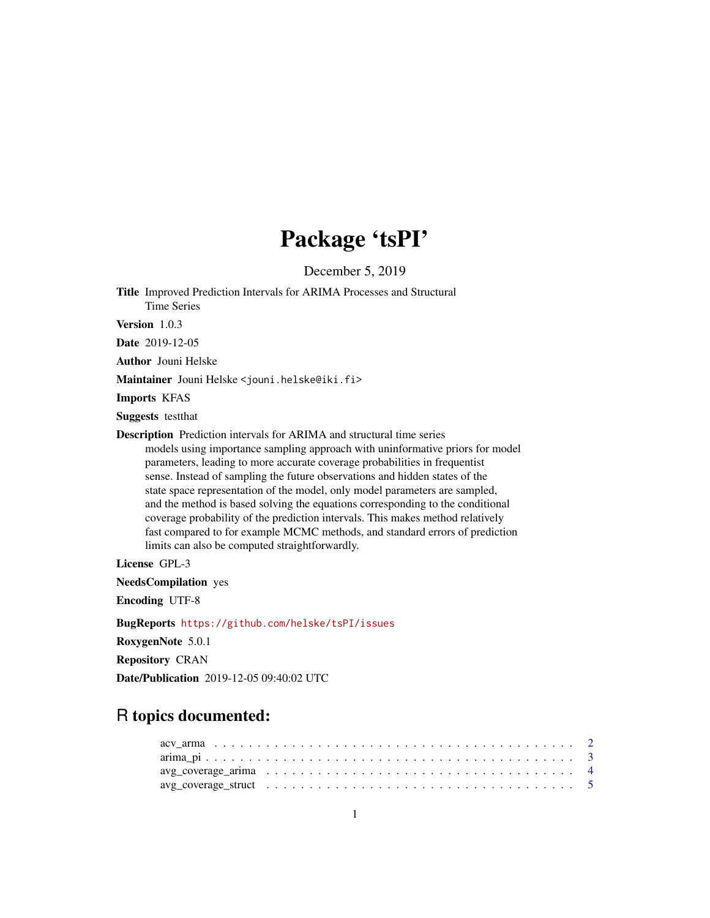# Package 'tsPI'

December 5, 2019

<span id="page-0-0"></span>Title Improved Prediction Intervals for ARIMA Processes and Structural Time Series

Version 1.0.3

Date 2019-12-05

Author Jouni Helske

Maintainer Jouni Helske <jouni.helske@iki.fi>

Imports KFAS

Suggests testthat

Description Prediction intervals for ARIMA and structural time series models using importance sampling approach with uninformative priors for model parameters, leading to more accurate coverage probabilities in frequentist sense. Instead of sampling the future observations and hidden states of the state space representation of the model, only model parameters are sampled, and the method is based solving the equations corresponding to the conditional coverage probability of the prediction intervals. This makes method relatively fast compared to for example MCMC methods, and standard errors of prediction limits can also be computed straightforwardly.

License GPL-3

NeedsCompilation yes

Encoding UTF-8

BugReports <https://github.com/helske/tsPI/issues>

RoxygenNote 5.0.1

Repository CRAN

Date/Publication 2019-12-05 09:40:02 UTC

## R topics documented: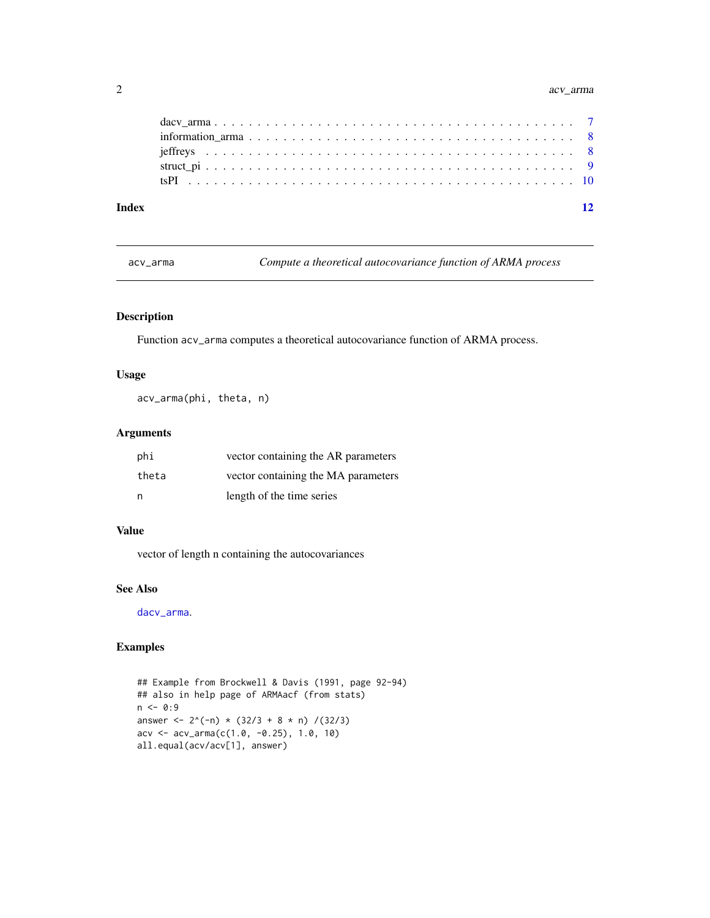#### <span id="page-1-0"></span>2 acv\_arma

| Index |  |  |  |  |  |  |  |  |  |  |  |  |  |  |  |  |  |
|-------|--|--|--|--|--|--|--|--|--|--|--|--|--|--|--|--|--|
|       |  |  |  |  |  |  |  |  |  |  |  |  |  |  |  |  |  |
|       |  |  |  |  |  |  |  |  |  |  |  |  |  |  |  |  |  |
|       |  |  |  |  |  |  |  |  |  |  |  |  |  |  |  |  |  |
|       |  |  |  |  |  |  |  |  |  |  |  |  |  |  |  |  |  |
|       |  |  |  |  |  |  |  |  |  |  |  |  |  |  |  |  |  |

<span id="page-1-1"></span>acv\_arma *Compute a theoretical autocovariance function of ARMA process*

#### Description

Function acv\_arma computes a theoretical autocovariance function of ARMA process.

#### Usage

acv\_arma(phi, theta, n)

#### Arguments

| phi   | vector containing the AR parameters |
|-------|-------------------------------------|
| theta | vector containing the MA parameters |
| n     | length of the time series           |

#### Value

vector of length n containing the autocovariances

#### See Also

[dacv\\_arma](#page-6-1).

#### Examples

```
## Example from Brockwell & Davis (1991, page 92-94)
## also in help page of ARMAacf (from stats)
n < -0:9answer <- 2^{(n)} \times (32/3 + 8 \times n) / (32/3)acv <- acv_arma(c(1.0, -0.25), 1.0, 10)
all.equal(acv/acv[1], answer)
```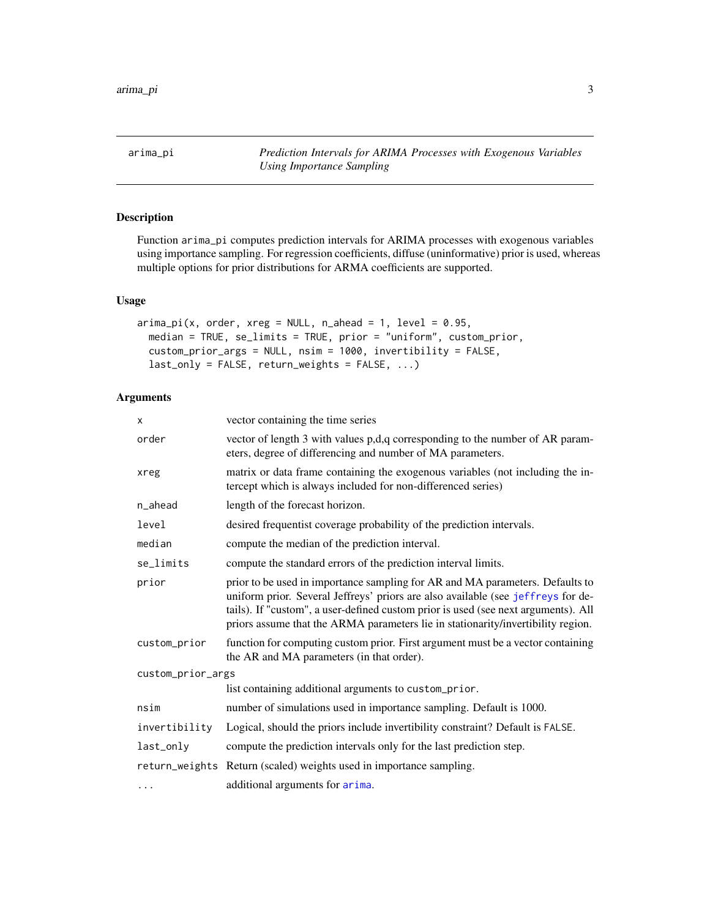<span id="page-2-1"></span><span id="page-2-0"></span>arima\_pi *Prediction Intervals for ARIMA Processes with Exogenous Variables Using Importance Sampling*

#### Description

Function arima\_pi computes prediction intervals for ARIMA processes with exogenous variables using importance sampling. For regression coefficients, diffuse (uninformative) prior is used, whereas multiple options for prior distributions for ARMA coefficients are supported.

#### Usage

```
\text{arima\_pi}(x, \text{ order}, \text{xreg} = \text{NULL}, \text{ n\_ahead} = 1, \text{ level} = 0.95,median = TRUE, se_limits = TRUE, prior = "uniform", custom_prior,
  custom_prior_args = NULL, nsim = 1000, invertibility = FALSE,
  last_only = FALSE, return_weights = FALSE, ...)
```
#### Arguments

| x                 | vector containing the time series                                                                                                                                                                                                                                                                                                           |
|-------------------|---------------------------------------------------------------------------------------------------------------------------------------------------------------------------------------------------------------------------------------------------------------------------------------------------------------------------------------------|
| order             | vector of length 3 with values p,d,q corresponding to the number of AR param-<br>eters, degree of differencing and number of MA parameters.                                                                                                                                                                                                 |
| xreg              | matrix or data frame containing the exogenous variables (not including the in-<br>tercept which is always included for non-differenced series)                                                                                                                                                                                              |
| n_ahead           | length of the forecast horizon.                                                                                                                                                                                                                                                                                                             |
| level             | desired frequentist coverage probability of the prediction intervals.                                                                                                                                                                                                                                                                       |
| median            | compute the median of the prediction interval.                                                                                                                                                                                                                                                                                              |
| se_limits         | compute the standard errors of the prediction interval limits.                                                                                                                                                                                                                                                                              |
| prior             | prior to be used in importance sampling for AR and MA parameters. Defaults to<br>uniform prior. Several Jeffreys' priors are also available (see jeffreys for de-<br>tails). If "custom", a user-defined custom prior is used (see next arguments). All<br>priors assume that the ARMA parameters lie in stationarity/invertibility region. |
| custom_prior      | function for computing custom prior. First argument must be a vector containing<br>the AR and MA parameters (in that order).                                                                                                                                                                                                                |
| custom_prior_args |                                                                                                                                                                                                                                                                                                                                             |
|                   | list containing additional arguments to custom_prior.                                                                                                                                                                                                                                                                                       |
| nsim              | number of simulations used in importance sampling. Default is 1000.                                                                                                                                                                                                                                                                         |
| invertibility     | Logical, should the priors include invertibility constraint? Default is FALSE.                                                                                                                                                                                                                                                              |
| last_only         | compute the prediction intervals only for the last prediction step.                                                                                                                                                                                                                                                                         |
|                   | return_weights Return (scaled) weights used in importance sampling.                                                                                                                                                                                                                                                                         |
| .                 | additional arguments for arima.                                                                                                                                                                                                                                                                                                             |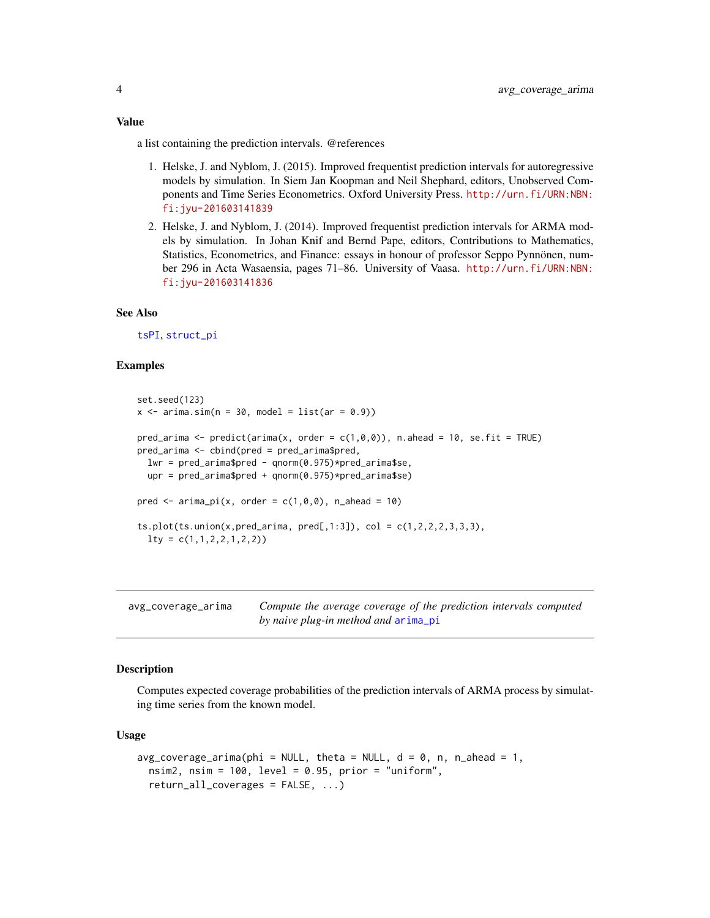<span id="page-3-0"></span>a list containing the prediction intervals. @references

- 1. Helske, J. and Nyblom, J. (2015). Improved frequentist prediction intervals for autoregressive models by simulation. In Siem Jan Koopman and Neil Shephard, editors, Unobserved Components and Time Series Econometrics. Oxford University Press. [http://urn.fi/URN:NBN:](http://urn.fi/URN:NBN:fi:jyu-201603141839) [fi:jyu-201603141839](http://urn.fi/URN:NBN:fi:jyu-201603141839)
- 2. Helske, J. and Nyblom, J. (2014). Improved frequentist prediction intervals for ARMA models by simulation. In Johan Knif and Bernd Pape, editors, Contributions to Mathematics, Statistics, Econometrics, and Finance: essays in honour of professor Seppo Pynnönen, number 296 in Acta Wasaensia, pages 71–86. University of Vaasa. [http://urn.fi/URN:NBN:](http://urn.fi/URN:NBN:fi:jyu-201603141836) [fi:jyu-201603141836](http://urn.fi/URN:NBN:fi:jyu-201603141836)

#### See Also

[tsPI](#page-9-1), [struct\\_pi](#page-8-1)

#### Examples

```
set.seed(123)
x \le -\arima.sim(n = 30, \text{ model} = list(ar = 0.9))pred_arima \leq predict(arima(x, order = c(1,0,0)), n.ahead = 10, se.fit = TRUE)
pred_arima <- cbind(pred = pred_arima$pred,
  lwr = pred_arima$pred - qnorm(0.975)*pred_arima$se,
  upr = pred_arima$pred + qnorm(0.975)*pred_arima$se)
pred \le arima_pi(x, order = c(1,0,0), n_ahead = 10)
ts.plot(ts.union(x,pred_arima, pred[,1:3]), col = c(1, 2, 2, 2, 3, 3, 3),
  lty = c(1,1,2,2,1,2,2)
```

| avg_coverage_arima | Compute the average coverage of the prediction intervals computed |
|--------------------|-------------------------------------------------------------------|
|                    | by naive plug-in method and arima_pi                              |

#### Description

Computes expected coverage probabilities of the prediction intervals of ARMA process by simulating time series from the known model.

#### Usage

```
avg\_coverage\_arima(\phi hi = NULL, theta = NULL, d = 0, n, n_ahead = 1,nsim2, nsim = 100, level = 0.95, prior = "uniform",
  return_all_coverages = FALSE, ...)
```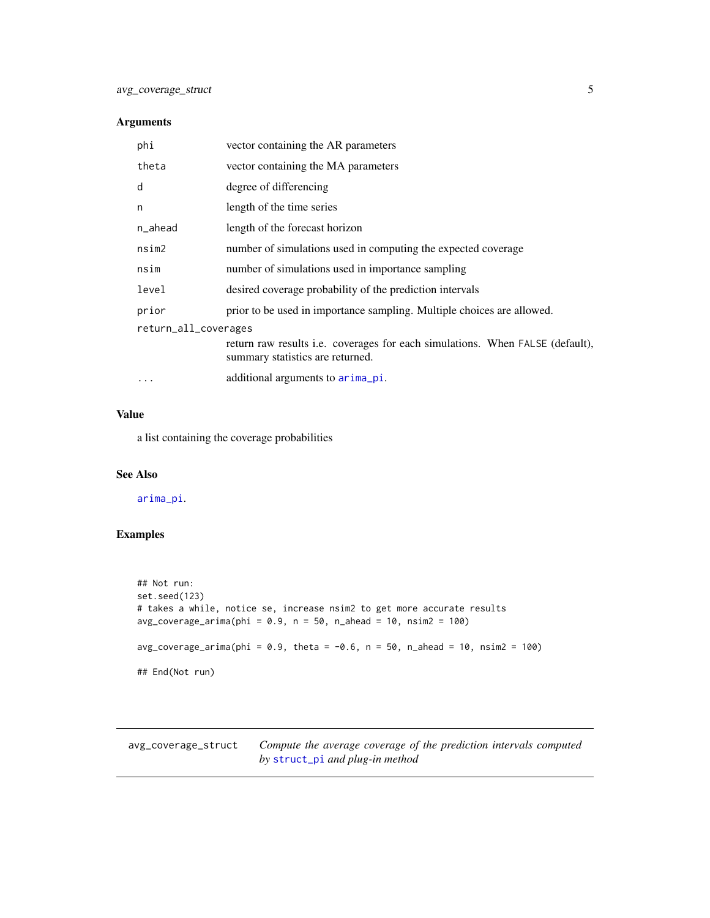#### <span id="page-4-0"></span>Arguments

| phi                  | vector containing the AR parameters                                                                                      |
|----------------------|--------------------------------------------------------------------------------------------------------------------------|
| theta                | vector containing the MA parameters                                                                                      |
| d                    | degree of differencing                                                                                                   |
| n                    | length of the time series                                                                                                |
| n_ahead              | length of the forecast horizon                                                                                           |
| nsim2                | number of simulations used in computing the expected coverage                                                            |
| nsim                 | number of simulations used in importance sampling                                                                        |
| level                | desired coverage probability of the prediction intervals                                                                 |
| prior                | prior to be used in importance sampling. Multiple choices are allowed.                                                   |
| return_all_coverages |                                                                                                                          |
|                      | return raw results <i>i.e.</i> coverages for each simulations. When FALSE (default),<br>summary statistics are returned. |
| $\cdots$             | additional arguments to arima pi.                                                                                        |
|                      |                                                                                                                          |

#### Value

a list containing the coverage probabilities

#### See Also

[arima\\_pi](#page-2-1).

#### Examples

```
## Not run:
set.seed(123)
# takes a while, notice se, increase nsim2 to get more accurate results
avg\_coverage\_arima(\text{phi} = 0.9, n = 50, n\_ahead = 10, nsim2 = 100)avg\_coverage\_arima(\text{phi} = 0.9, \text{theta} = -0.6, n = 50, n\_ ahead = 10, nsim2 = 100)## End(Not run)
```
avg\_coverage\_struct *Compute the average coverage of the prediction intervals computed by* [struct\\_pi](#page-8-1) *and plug-in method*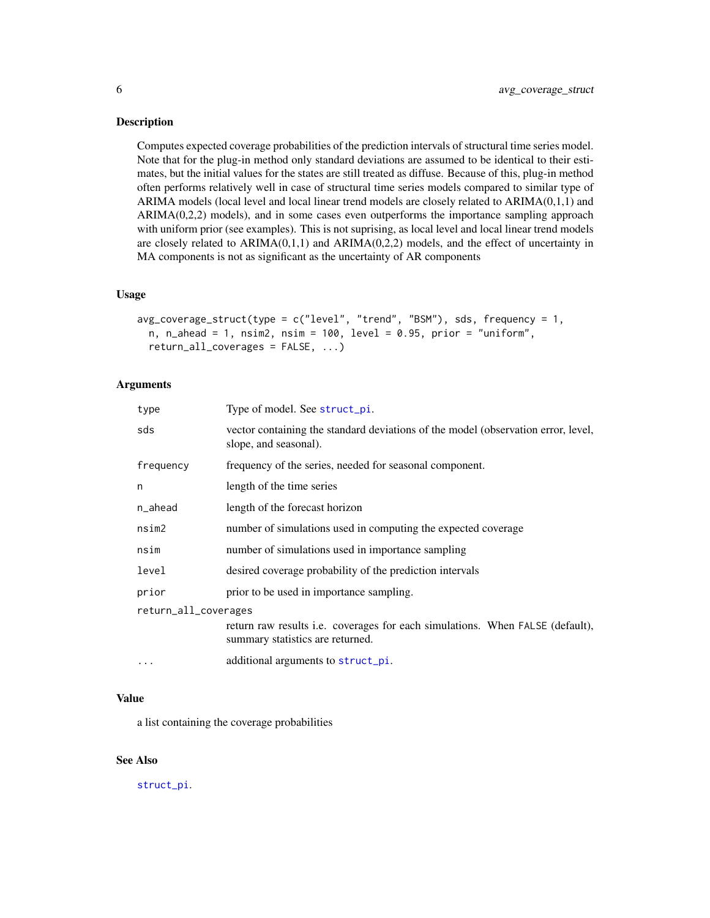#### <span id="page-5-0"></span>Description

Computes expected coverage probabilities of the prediction intervals of structural time series model. Note that for the plug-in method only standard deviations are assumed to be identical to their estimates, but the initial values for the states are still treated as diffuse. Because of this, plug-in method often performs relatively well in case of structural time series models compared to similar type of ARIMA models (local level and local linear trend models are closely related to ARIMA(0,1,1) and  $ARIMA(0,2,2)$  models), and in some cases even outperforms the importance sampling approach with uniform prior (see examples). This is not suprising, as local level and local linear trend models are closely related to  $ARIMA(0,1,1)$  and  $ARIMA(0,2,2)$  models, and the effect of uncertainty in MA components is not as significant as the uncertainty of AR components

#### Usage

```
avg\_coverage\_struct(type = c("level", "trend", "BSM"), sds, frequency = 1,n, n_ahead = 1, nsim2, nsim = 100, level = 0.95, prior = "uniform",
  return_all_coverages = FALSE, ...)
```
#### Arguments

| type                 | Type of model. See struct_pi.                                                                                     |
|----------------------|-------------------------------------------------------------------------------------------------------------------|
| sds                  | vector containing the standard deviations of the model (observation error, level,<br>slope, and seasonal).        |
| frequency            | frequency of the series, needed for seasonal component.                                                           |
| n                    | length of the time series                                                                                         |
| n_ahead              | length of the forecast horizon                                                                                    |
| nsim2                | number of simulations used in computing the expected coverage                                                     |
| nsim                 | number of simulations used in importance sampling                                                                 |
| level                | desired coverage probability of the prediction intervals                                                          |
| prior                | prior to be used in importance sampling.                                                                          |
| return_all_coverages |                                                                                                                   |
|                      | return raw results i.e. coverages for each simulations. When FALSE (default),<br>summary statistics are returned. |
| $\cdots$             | additional arguments to struct_pi.                                                                                |

#### Value

a list containing the coverage probabilities

#### See Also

[struct\\_pi](#page-8-1).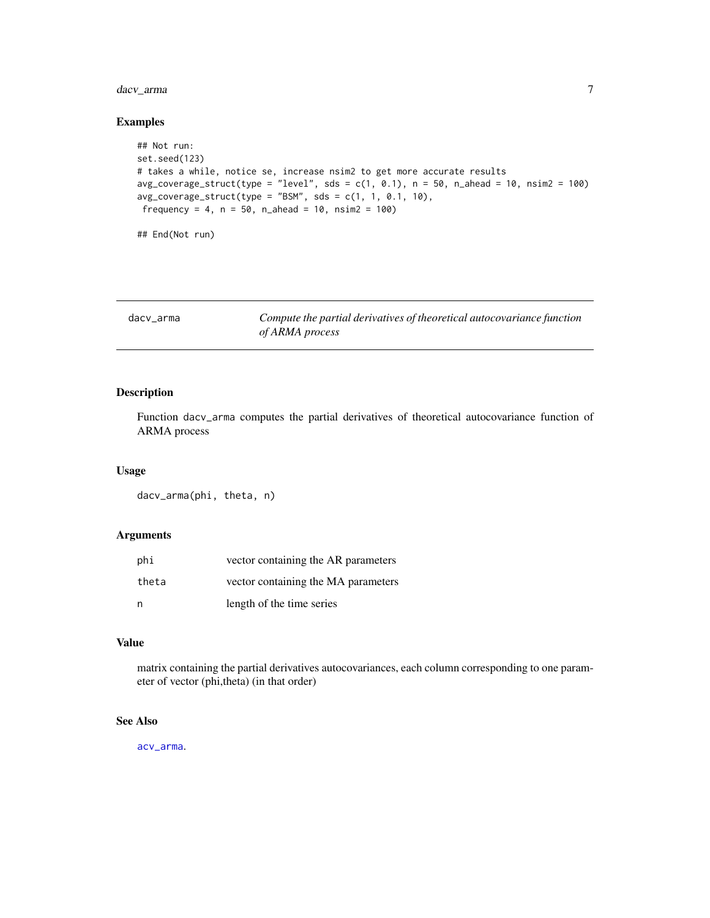#### <span id="page-6-0"></span>dacv\_arma 7

### Examples

```
## Not run:
set.seed(123)
# takes a while, notice se, increase nsim2 to get more accurate results
avg\_coverage\_struct(type = "level", sds = c(1, 0.1), n = 50, n\_ ahead = 10, nsim2 = 100)avg\_coverage\_struct(type = "BSM", sds = c(1, 1, 0.1, 10),frequency = 4, n = 50, n_ahead = 10, nsim2 = 100)
## End(Not run)
```
<span id="page-6-1"></span>

| dacv arma | Compute the partial derivatives of theoretical autocovariance function |
|-----------|------------------------------------------------------------------------|
|           | of ARMA process                                                        |

#### Description

Function dacv\_arma computes the partial derivatives of theoretical autocovariance function of ARMA process

#### Usage

dacv\_arma(phi, theta, n)

#### Arguments

| phi   | vector containing the AR parameters |
|-------|-------------------------------------|
| theta | vector containing the MA parameters |
| n     | length of the time series           |

#### Value

matrix containing the partial derivatives autocovariances, each column corresponding to one parameter of vector (phi,theta) (in that order)

#### See Also

[acv\\_arma](#page-1-1).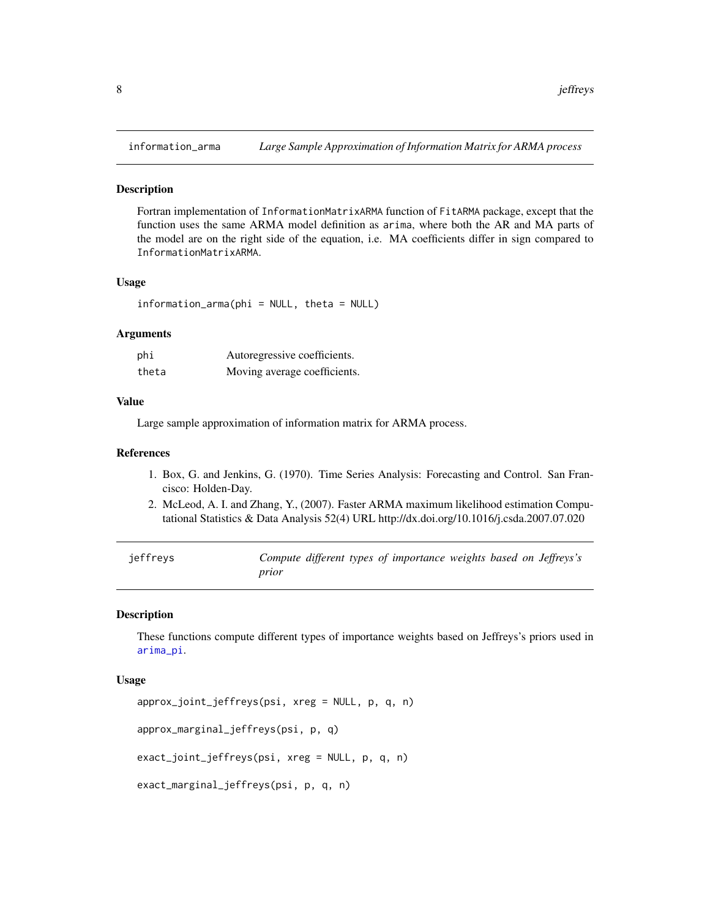<span id="page-7-0"></span>

#### **Description**

Fortran implementation of InformationMatrixARMA function of FitARMA package, except that the function uses the same ARMA model definition as arima, where both the AR and MA parts of the model are on the right side of the equation, i.e. MA coefficients differ in sign compared to InformationMatrixARMA.

#### Usage

information\_arma(phi = NULL, theta = NULL)

#### Arguments

| phi   | Autoregressive coefficients. |
|-------|------------------------------|
| theta | Moving average coefficients. |

#### Value

Large sample approximation of information matrix for ARMA process.

#### References

- 1. Box, G. and Jenkins, G. (1970). Time Series Analysis: Forecasting and Control. San Francisco: Holden-Day.
- 2. McLeod, A. I. and Zhang, Y., (2007). Faster ARMA maximum likelihood estimation Computational Statistics & Data Analysis 52(4) URL http://dx.doi.org/10.1016/j.csda.2007.07.020

<span id="page-7-1"></span>

| ieffreys |       |  | Compute different types of importance weights based on Jeffreys's |  |  |
|----------|-------|--|-------------------------------------------------------------------|--|--|
|          | prior |  |                                                                   |  |  |

#### Description

These functions compute different types of importance weights based on Jeffreys's priors used in [arima\\_pi](#page-2-1).

#### Usage

```
approx_joint_jeffreys(psi, xreg = NULL, p, q, n)
approx_marginal_jeffreys(psi, p, q)
exact_joint_jeffreys(psi, xreg = NULL, p, q, n)
exact_marginal_jeffreys(psi, p, q, n)
```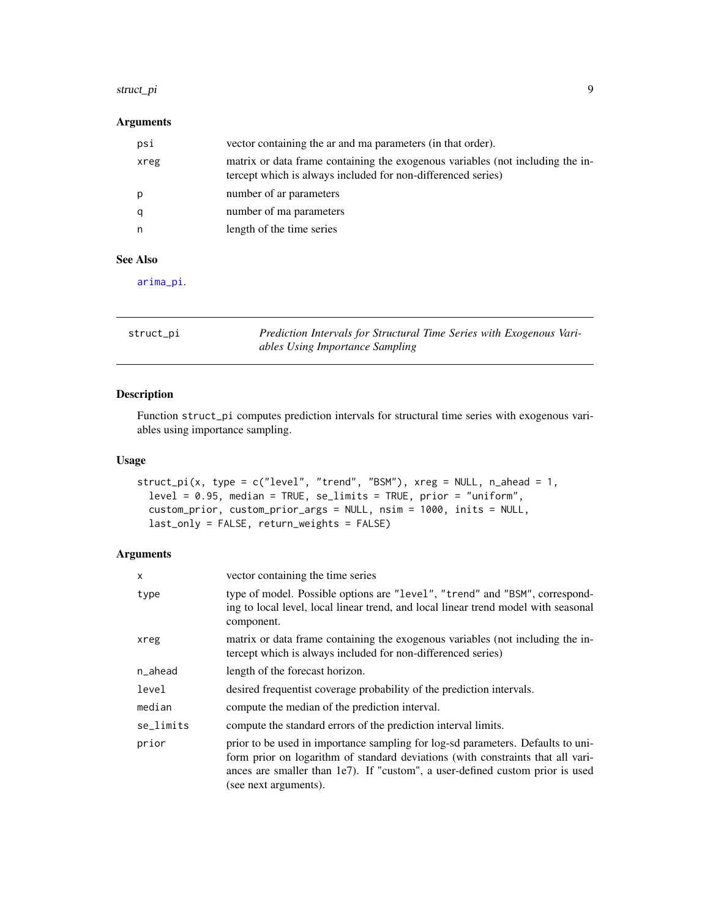#### <span id="page-8-0"></span>struct\_pi 9

#### Arguments

| psi  | vector containing the ar and ma parameters (in that order).                                                                                    |
|------|------------------------------------------------------------------------------------------------------------------------------------------------|
| xreg | matrix or data frame containing the exogenous variables (not including the in-<br>tercept which is always included for non-differenced series) |
| p    | number of ar parameters                                                                                                                        |
|      | number of ma parameters                                                                                                                        |
|      | length of the time series                                                                                                                      |
|      |                                                                                                                                                |

#### See Also

[arima\\_pi](#page-2-1).

<span id="page-8-1"></span>

| struct_pi | Prediction Intervals for Structural Time Series with Exogenous Vari- |
|-----------|----------------------------------------------------------------------|
|           | ables Using Importance Sampling                                      |

#### Description

Function struct\_pi computes prediction intervals for structural time series with exogenous variables using importance sampling.

#### Usage

```
struct_pi(x, type = c("level", "trend", "BSM"), xreg = NULL, n_ahead = 1,
  level = 0.95, median = TRUE, se_limits = TRUE, prior = "uniform",
 custom_prior, custom_prior_args = NULL, nsim = 1000, inits = NULL,
 last_only = FALSE, return_weights = FALSE)
```
#### Arguments

| X         | vector containing the time series                                                                                                                                                                                                                                               |
|-----------|---------------------------------------------------------------------------------------------------------------------------------------------------------------------------------------------------------------------------------------------------------------------------------|
| type      | type of model. Possible options are "level", "trend" and "BSM", correspond-<br>ing to local level, local linear trend, and local linear trend model with seasonal<br>component.                                                                                                 |
| xreg      | matrix or data frame containing the exogenous variables (not including the in-<br>tercept which is always included for non-differenced series)                                                                                                                                  |
| n_ahead   | length of the forecast horizon.                                                                                                                                                                                                                                                 |
| level     | desired frequentist coverage probability of the prediction intervals.                                                                                                                                                                                                           |
| median    | compute the median of the prediction interval.                                                                                                                                                                                                                                  |
| se_limits | compute the standard errors of the prediction interval limits.                                                                                                                                                                                                                  |
| prior     | prior to be used in importance sampling for log-sd parameters. Defaults to uni-<br>form prior on logarithm of standard deviations (with constraints that all vari-<br>ances are smaller than $1e7$ ). If "custom", a user-defined custom prior is used<br>(see next arguments). |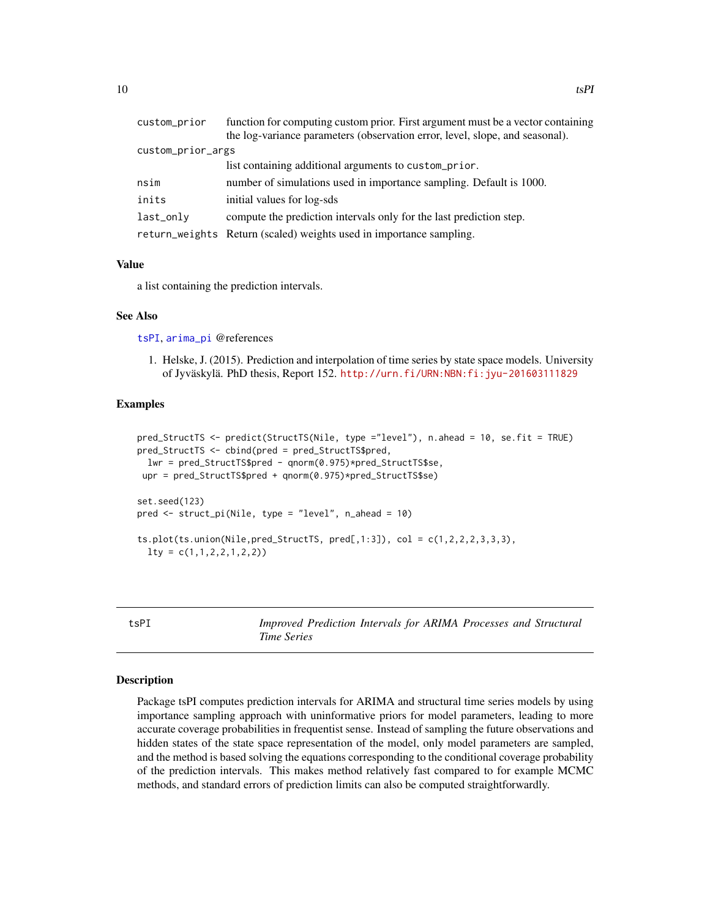<span id="page-9-0"></span>

| custom_prior      | function for computing custom prior. First argument must be a vector containing |
|-------------------|---------------------------------------------------------------------------------|
|                   | the log-variance parameters (observation error, level, slope, and seasonal).    |
| custom_prior_args |                                                                                 |
|                   | list containing additional arguments to custom_prior.                           |
| nsim              | number of simulations used in importance sampling. Default is 1000.             |
| inits             | initial values for log-sds                                                      |
| last_only         | compute the prediction intervals only for the last prediction step.             |
|                   | return_weights Return (scaled) weights used in importance sampling.             |

#### Value

a list containing the prediction intervals.

#### See Also

[tsPI](#page-9-1), [arima\\_pi](#page-2-1) @references

1. Helske, J. (2015). Prediction and interpolation of time series by state space models. University of Jyväskylä. PhD thesis, Report 152. <http://urn.fi/URN:NBN:fi:jyu-201603111829>

#### Examples

```
pred_StructTS <- predict(StructTS(Nile, type ="level"), n.ahead = 10, se.fit = TRUE)
pred_StructTS <- cbind(pred = pred_StructTS$pred,
 lwr = pred_StructTS$pred - qnorm(0.975)*pred_StructTS$se,
upr = pred_StructTS$pred + qnorm(0.975)*pred_StructTS$se)
set.seed(123)
pred <- struct_pi(Nile, type = "level", n_ahead = 10)
ts.plot(ts.union(Nile,pred_StructTS, pred[,1:3]), col = c(1, 2, 2, 2, 3, 3, 3),
 lty = c(1,1,2,2,1,2,2)
```
<span id="page-9-1"></span>tsPI *Improved Prediction Intervals for ARIMA Processes and Structural Time Series*

#### Description

Package tsPI computes prediction intervals for ARIMA and structural time series models by using importance sampling approach with uninformative priors for model parameters, leading to more accurate coverage probabilities in frequentist sense. Instead of sampling the future observations and hidden states of the state space representation of the model, only model parameters are sampled, and the method is based solving the equations corresponding to the conditional coverage probability of the prediction intervals. This makes method relatively fast compared to for example MCMC methods, and standard errors of prediction limits can also be computed straightforwardly.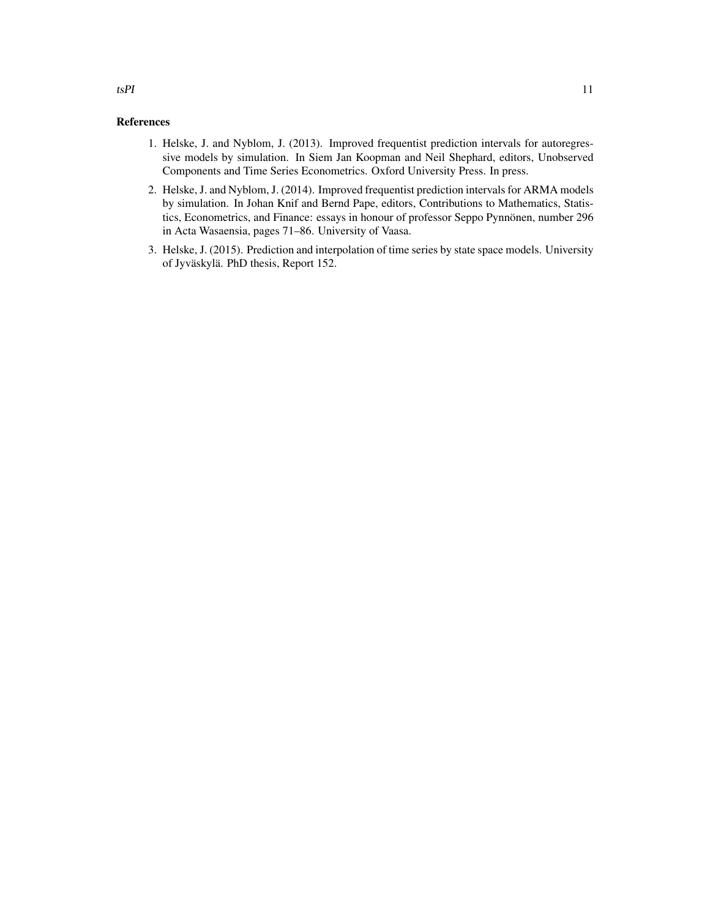#### References

- 1. Helske, J. and Nyblom, J. (2013). Improved frequentist prediction intervals for autoregressive models by simulation. In Siem Jan Koopman and Neil Shephard, editors, Unobserved Components and Time Series Econometrics. Oxford University Press. In press.
- 2. Helske, J. and Nyblom, J. (2014). Improved frequentist prediction intervals for ARMA models by simulation. In Johan Knif and Bernd Pape, editors, Contributions to Mathematics, Statistics, Econometrics, and Finance: essays in honour of professor Seppo Pynnönen, number 296 in Acta Wasaensia, pages 71–86. University of Vaasa.
- 3. Helske, J. (2015). Prediction and interpolation of time series by state space models. University of Jyväskylä. PhD thesis, Report 152.